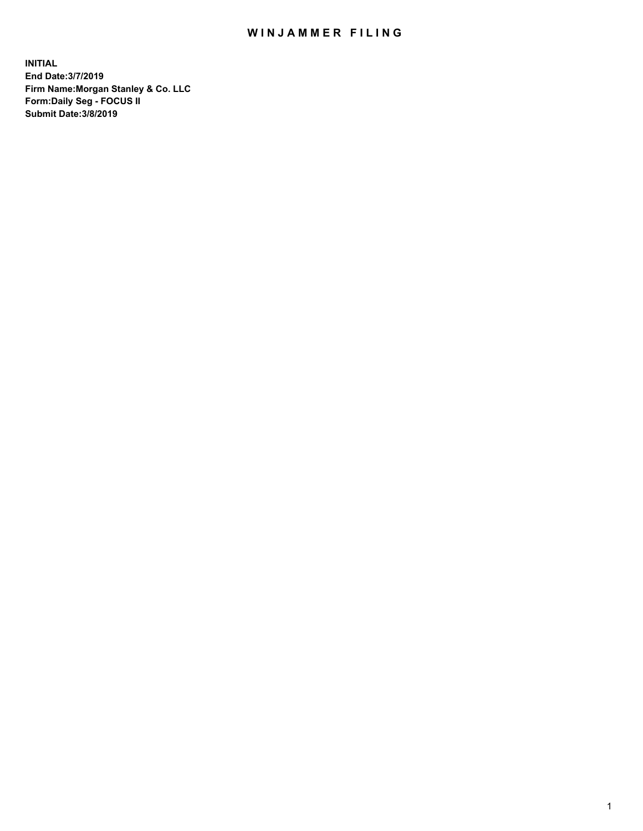## WIN JAMMER FILING

**INITIAL End Date:3/7/2019 Firm Name:Morgan Stanley & Co. LLC Form:Daily Seg - FOCUS II Submit Date:3/8/2019**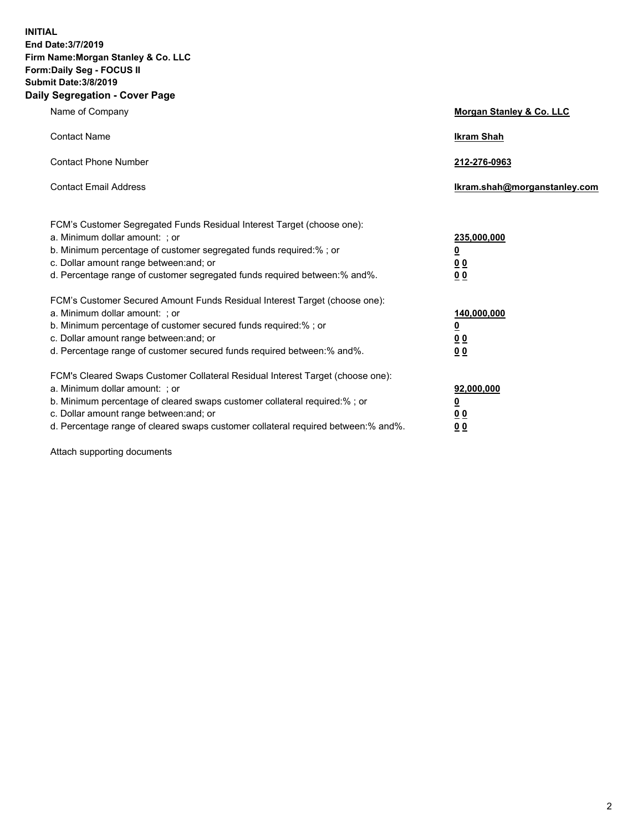**INITIAL End Date:3/7/2019 Firm Name:Morgan Stanley & Co. LLC Form:Daily Seg - FOCUS II Submit Date:3/8/2019 Daily Segregation - Cover Page**

| Name of Company                                                                                                                                                                                                                                                                                                                | Morgan Stanley & Co. LLC                                    |
|--------------------------------------------------------------------------------------------------------------------------------------------------------------------------------------------------------------------------------------------------------------------------------------------------------------------------------|-------------------------------------------------------------|
| <b>Contact Name</b>                                                                                                                                                                                                                                                                                                            | <b>Ikram Shah</b>                                           |
| <b>Contact Phone Number</b>                                                                                                                                                                                                                                                                                                    | 212-276-0963                                                |
| <b>Contact Email Address</b>                                                                                                                                                                                                                                                                                                   | Ikram.shah@morganstanley.com                                |
| FCM's Customer Segregated Funds Residual Interest Target (choose one):<br>a. Minimum dollar amount: ; or<br>b. Minimum percentage of customer segregated funds required:% ; or<br>c. Dollar amount range between: and; or<br>d. Percentage range of customer segregated funds required between:% and%.                         | 235,000,000<br><u>0</u><br>0 <sub>0</sub><br>00             |
| FCM's Customer Secured Amount Funds Residual Interest Target (choose one):<br>a. Minimum dollar amount: ; or<br>b. Minimum percentage of customer secured funds required:% ; or<br>c. Dollar amount range between: and; or<br>d. Percentage range of customer secured funds required between:% and%.                           | 140,000,000<br><u>0</u><br>0 <sub>0</sub><br>0 <sub>0</sub> |
| FCM's Cleared Swaps Customer Collateral Residual Interest Target (choose one):<br>a. Minimum dollar amount: ; or<br>b. Minimum percentage of cleared swaps customer collateral required:% ; or<br>c. Dollar amount range between: and; or<br>d. Percentage range of cleared swaps customer collateral required between:% and%. | 92,000,000<br><u>0</u><br>0 Q<br>0 <sub>0</sub>             |

Attach supporting documents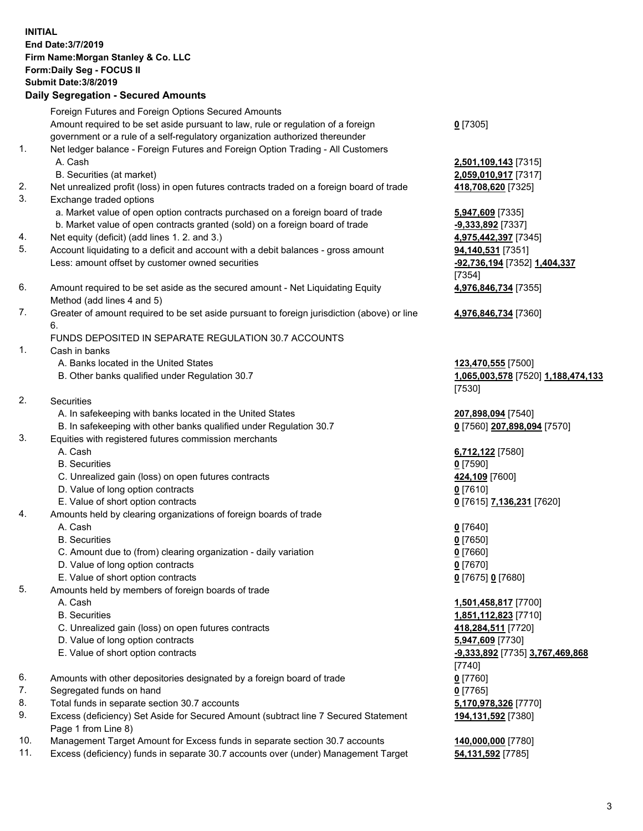|    | <b>INITIAL</b><br>End Date: 3/7/2019<br>Firm Name: Morgan Stanley & Co. LLC<br>Form: Daily Seg - FOCUS II<br><b>Submit Date: 3/8/2019</b><br><b>Daily Segregation - Secured Amounts</b> |                        |
|----|-----------------------------------------------------------------------------------------------------------------------------------------------------------------------------------------|------------------------|
|    | Foreign Futures and Foreign Options Secured Amounts                                                                                                                                     |                        |
|    | Amount required to be set aside pursuant to law, rule or regulation of a foreign                                                                                                        | $0$ [7305]             |
|    | government or a rule of a self-regulatory organization authorized thereunder                                                                                                            |                        |
| 1. | Net ledger balance - Foreign Futures and Foreign Option Trading - All Customers                                                                                                         |                        |
|    | A. Cash                                                                                                                                                                                 | 2,501,10               |
| 2. | B. Securities (at market)<br>Net unrealized profit (loss) in open futures contracts traded on a foreign board of trade                                                                  | 2,059,01<br>418,708    |
| 3. | Exchange traded options                                                                                                                                                                 |                        |
|    | a. Market value of open option contracts purchased on a foreign board of trade                                                                                                          | 5,947,60               |
|    | b. Market value of open contracts granted (sold) on a foreign board of trade                                                                                                            | $-9,333,8$             |
| 4. | Net equity (deficit) (add lines 1.2. and 3.)                                                                                                                                            | 4,975,44               |
| 5. | Account liquidating to a deficit and account with a debit balances - gross amount                                                                                                       | 94,140,5               |
|    | Less: amount offset by customer owned securities                                                                                                                                        | $-92,736,$             |
|    |                                                                                                                                                                                         | $[7354]$               |
| 6. | Amount required to be set aside as the secured amount - Net Liquidating Equity<br>Method (add lines 4 and 5)                                                                            | 4,976,84               |
| 7. | Greater of amount required to be set aside pursuant to foreign jurisdiction (above) or line                                                                                             | 4,976,84               |
|    | 6.                                                                                                                                                                                      |                        |
|    | FUNDS DEPOSITED IN SEPARATE REGULATION 30.7 ACCOUNTS                                                                                                                                    |                        |
| 1. | Cash in banks                                                                                                                                                                           |                        |
|    | A. Banks located in the United States                                                                                                                                                   | 123,470                |
|    | B. Other banks qualified under Regulation 30.7                                                                                                                                          | 1,065,00               |
| 2. |                                                                                                                                                                                         | $[7530]$               |
|    | Securities<br>A. In safekeeping with banks located in the United States                                                                                                                 | 207,898                |
|    | B. In safekeeping with other banks qualified under Regulation 30.7                                                                                                                      | $0$ [7560]             |
| 3. | Equities with registered futures commission merchants                                                                                                                                   |                        |
|    | A. Cash                                                                                                                                                                                 | 6,712,12               |
|    | <b>B.</b> Securities                                                                                                                                                                    | $0$ [7590]             |
|    | C. Unrealized gain (loss) on open futures contracts                                                                                                                                     | 424,109                |
|    | D. Value of long option contracts                                                                                                                                                       | 0 [7610]               |
|    | E. Value of short option contracts                                                                                                                                                      | $0$ [7615]             |
| 4. | Amounts held by clearing organizations of foreign boards of trade<br>A. Cash                                                                                                            | $0$ [7640]             |
|    | <b>B.</b> Securities                                                                                                                                                                    | <u>0</u> [7650]        |
|    | C. Amount due to (from) clearing organization - daily variation                                                                                                                         | $0$ [7660]             |
|    | D. Value of long option contracts                                                                                                                                                       | $0$ [7670]             |
|    | E. Value of short option contracts                                                                                                                                                      | $0$ [7675]             |
| 5. | Amounts held by members of foreign boards of trade                                                                                                                                      |                        |
|    | A. Cash                                                                                                                                                                                 | 1,501,45               |
|    | <b>B.</b> Securities                                                                                                                                                                    | 1,851,11               |
|    | C. Unrealized gain (loss) on open futures contracts                                                                                                                                     | 418,284                |
|    | D. Value of long option contracts<br>E. Value of short option contracts                                                                                                                 | 5,947,60<br>$-9,333,8$ |
|    |                                                                                                                                                                                         | $[7740]$               |
| 6. | Amounts with other depositories designated by a foreign board of trade                                                                                                                  | $0$ [7760]             |
| 7. | Segregated funds on hand                                                                                                                                                                | $0$ [7765]             |
| 8. | Total funds in separate section 30.7 accounts                                                                                                                                           | 5,170,97               |
| ∩  |                                                                                                                                                                                         |                        |

- 9. Excess (deficiency) Set Aside for Secured Amount (subtract line 7 Secured Statement Page 1 from Line 8)
- 10. Management Target Amount for Excess funds in separate section 30.7 accounts **140,000,000** [7780]
- 11. Excess (deficiency) funds in separate 30.7 accounts over (under) Management Target **54,131,592** [7785]

**0** [7305]

 A. Cash **2,501,109,143** [7315] B. Securities (at market) **2,059,010,917** [7317] 2. 118,708,620 [7325]

a. **947,609** [7335] **9,333,892** [7337] **4,975,442,397** [7345] **04,140,531** [7351] Less: amount offset by customer owned securities **-92,736,194** [7352] **1,404,337** [7354] **4,976,846,734** [7355]

**4,976,846,734** [7360]

**23,470,555** [7500] B. Other banks qualified under Regulation 30.7 **1,065,003,578** [7520] **1,188,474,133** [7530]

<sup>207,898,094</sup> [7540] B. In safekeeping with other banks qualified under Regulation 30.7 **0** [7560] **207,898,094** [7570]

 A. Cash **6,712,122** [7580] **24,109** [7600] E. Value of short option contracts **0** [7615] **7,136,231** [7620]

E. Value of short option contracts **0** [7675] **0** [7680]

 A. Cash **1,501,458,817** [7700] B. Securities **1,851,112,823** [7710] **0. 118,284,511** [7720] D. Value of long option contracts **5,947,609** [7730] E. Value of short option contracts **-9,333,892** [7735] **3,767,469,868** [7740] 8,170,978,326 [7770] **194,131,592** [7380]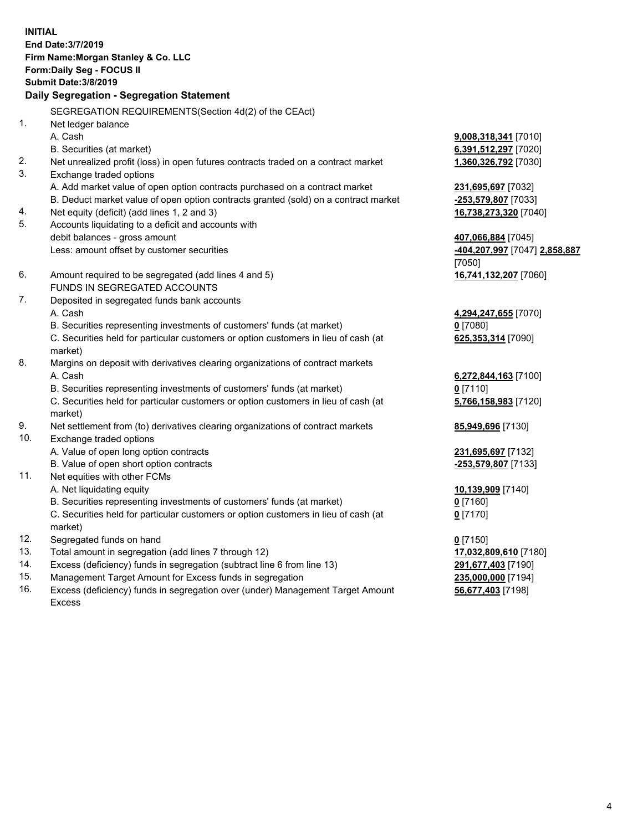**INITIAL End Date:3/7/2019 Firm Name:Morgan Stanley & Co. LLC Form:Daily Seg - FOCUS II Submit Date:3/8/2019 Daily Segregation - Segregation Statement** SEGREGATION REQUIREMENTS(Section 4d(2) of the CEAct) 1. Net ledger balance A. Cash **9,008,318,341** [7010] B. Securities (at market) **6,391,512,297** [7020] 2. Net unrealized profit (loss) in open futures contracts traded on a contract market **1,360,326,792** [7030] 3. Exchange traded options A. Add market value of open option contracts purchased on a contract market **231,695,697** [7032] B. Deduct market value of open option contracts granted (sold) on a contract market **-253,579,807** [7033] 4. Net equity (deficit) (add lines 1, 2 and 3) **16,738,273,320** [7040] 5. Accounts liquidating to a deficit and accounts with debit balances - gross amount **407,066,884** [7045] Less: amount offset by customer securities **-404,207,997** [7047] **2,858,887** [7050] 6. Amount required to be segregated (add lines 4 and 5) **16,741,132,207** [7060] FUNDS IN SEGREGATED ACCOUNTS 7. Deposited in segregated funds bank accounts A. Cash **4,294,247,655** [7070] B. Securities representing investments of customers' funds (at market) **0** [7080] C. Securities held for particular customers or option customers in lieu of cash (at market) **625,353,314** [7090] 8. Margins on deposit with derivatives clearing organizations of contract markets A. Cash **6,272,844,163** [7100] B. Securities representing investments of customers' funds (at market) **0** [7110] C. Securities held for particular customers or option customers in lieu of cash (at market) **5,766,158,983** [7120] 9. Net settlement from (to) derivatives clearing organizations of contract markets **85,949,696** [7130] 10. Exchange traded options A. Value of open long option contracts **231,695,697** [7132] B. Value of open short option contracts **-253,579,807** [7133] 11. Net equities with other FCMs A. Net liquidating equity **10,139,909** [7140] B. Securities representing investments of customers' funds (at market) **0** [7160] C. Securities held for particular customers or option customers in lieu of cash (at market) **0** [7170] 12. Segregated funds on hand **0** [7150] 13. Total amount in segregation (add lines 7 through 12) **17,032,809,610** [7180] 14. Excess (deficiency) funds in segregation (subtract line 6 from line 13) **291,677,403** [7190]

- 15. Management Target Amount for Excess funds in segregation **235,000,000** [7194]
- 16. Excess (deficiency) funds in segregation over (under) Management Target Amount Excess

**56,677,403** [7198]